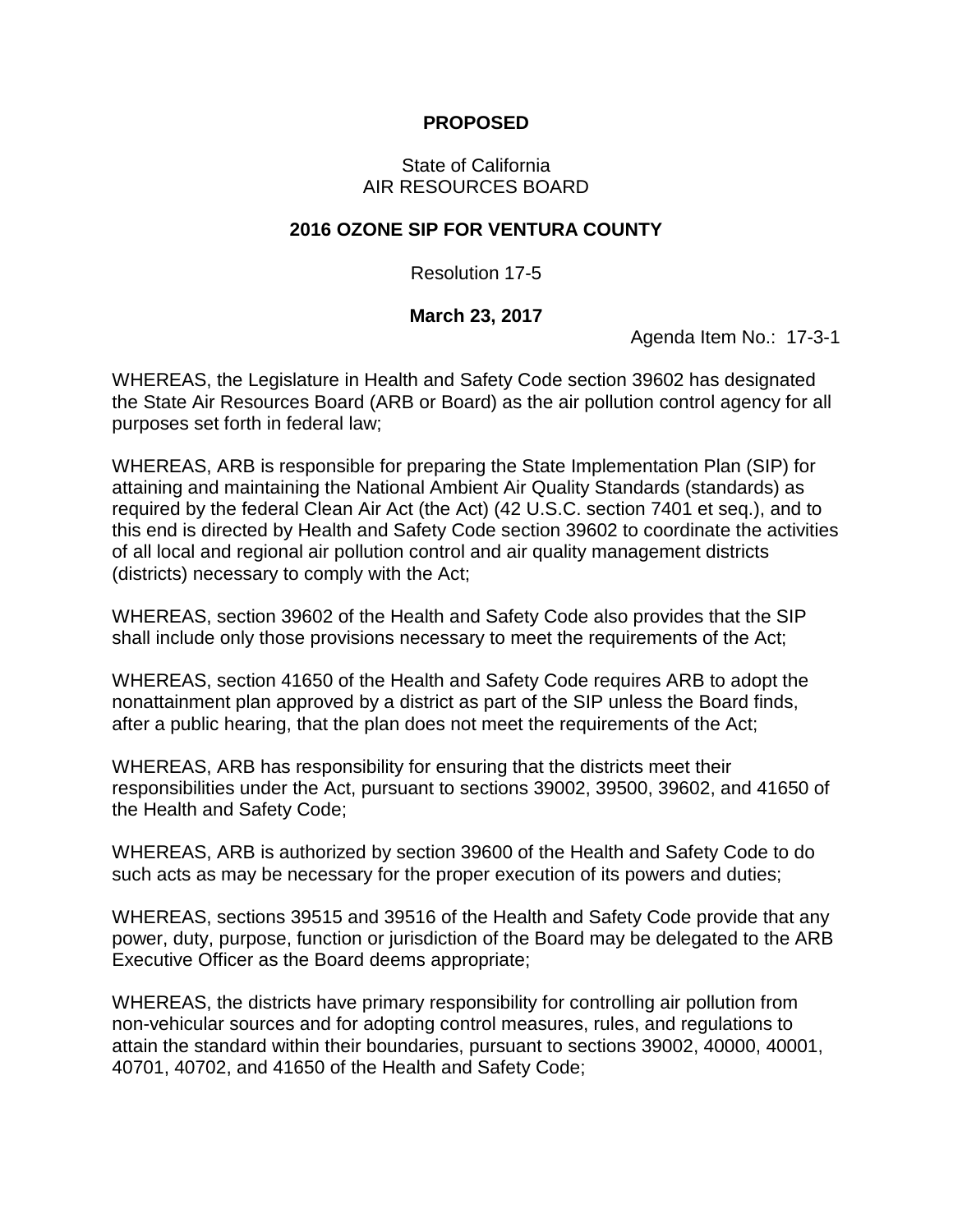## **PROPOSED**

## State of California AIR RESOURCES BOARD

## **2016 OZONE SIP FOR VENTURA COUNTY**

Resolution 17-5

## **March 23, 2017**

Agenda Item No.: 17-3-1

WHEREAS, the Legislature in Health and Safety Code section 39602 has designated the State Air Resources Board (ARB or Board) as the air pollution control agency for all purposes set forth in federal law;

WHEREAS, ARB is responsible for preparing the State Implementation Plan (SIP) for attaining and maintaining the National Ambient Air Quality Standards (standards) as required by the federal Clean Air Act (the Act) (42 U.S.C. section 7401 et seq.), and to this end is directed by Health and Safety Code section 39602 to coordinate the activities of all local and regional air pollution control and air quality management districts (districts) necessary to comply with the Act;

WHEREAS, section 39602 of the Health and Safety Code also provides that the SIP shall include only those provisions necessary to meet the requirements of the Act;

WHEREAS, section 41650 of the Health and Safety Code requires ARB to adopt the nonattainment plan approved by a district as part of the SIP unless the Board finds, after a public hearing, that the plan does not meet the requirements of the Act;

WHEREAS, ARB has responsibility for ensuring that the districts meet their responsibilities under the Act, pursuant to sections 39002, 39500, 39602, and 41650 of the Health and Safety Code;

WHEREAS, ARB is authorized by section 39600 of the Health and Safety Code to do such acts as may be necessary for the proper execution of its powers and duties;

WHEREAS, sections 39515 and 39516 of the Health and Safety Code provide that any power, duty, purpose, function or jurisdiction of the Board may be delegated to the ARB Executive Officer as the Board deems appropriate;

WHEREAS, the districts have primary responsibility for controlling air pollution from non-vehicular sources and for adopting control measures, rules, and regulations to attain the standard within their boundaries, pursuant to sections 39002, 40000, 40001, 40701, 40702, and 41650 of the Health and Safety Code;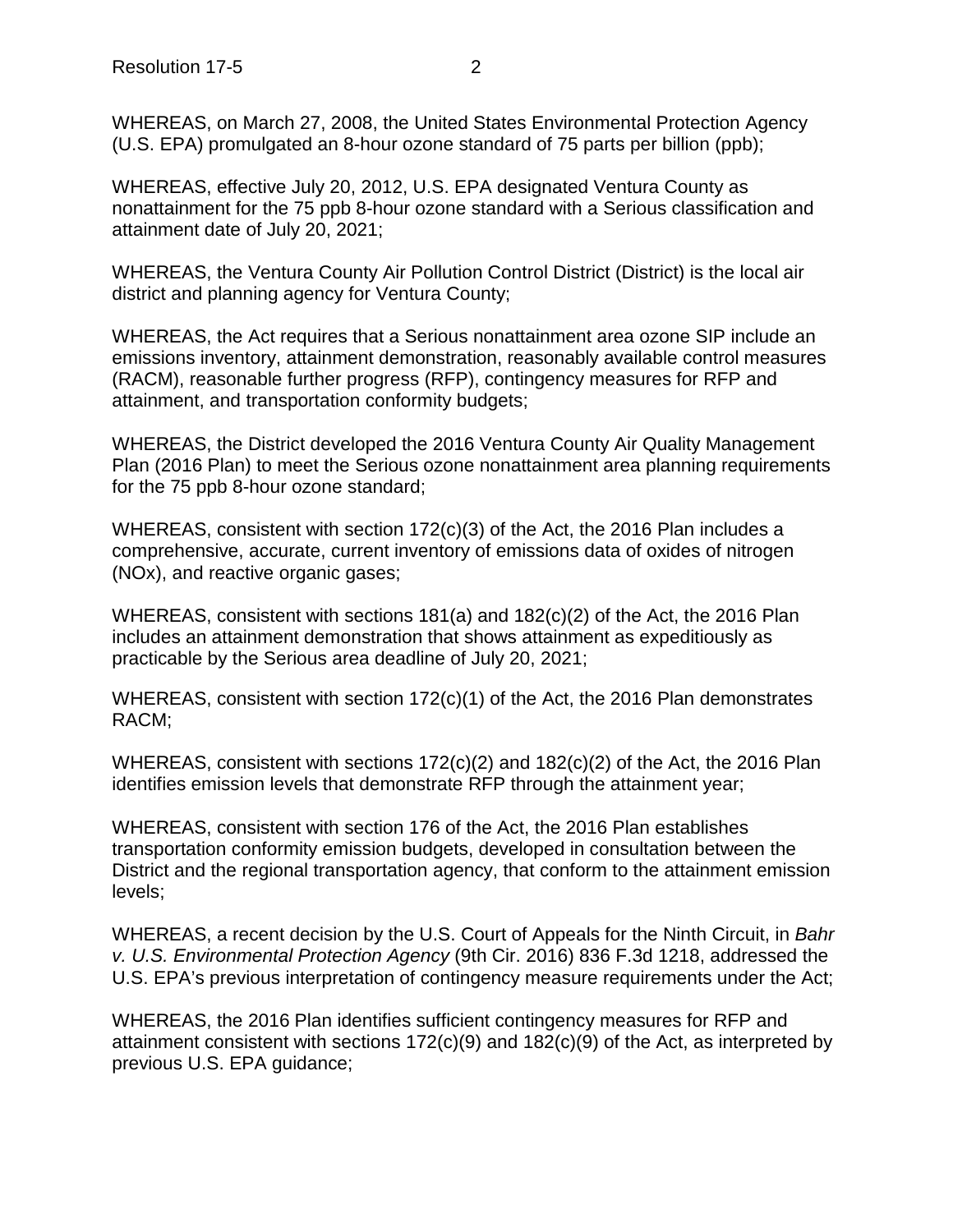WHEREAS, on March 27, 2008, the United States Environmental Protection Agency (U.S. EPA) promulgated an 8-hour ozone standard of 75 parts per billion (ppb);

WHEREAS, effective July 20, 2012, U.S. EPA designated Ventura County as nonattainment for the 75 ppb 8-hour ozone standard with a Serious classification and attainment date of July 20, 2021;

WHEREAS, the Ventura County Air Pollution Control District (District) is the local air district and planning agency for Ventura County;

WHEREAS, the Act requires that a Serious nonattainment area ozone SIP include an emissions inventory, attainment demonstration, reasonably available control measures (RACM), reasonable further progress (RFP), contingency measures for RFP and attainment, and transportation conformity budgets;

WHEREAS, the District developed the 2016 Ventura County Air Quality Management Plan (2016 Plan) to meet the Serious ozone nonattainment area planning requirements for the 75 ppb 8-hour ozone standard;

WHEREAS, consistent with section 172(c)(3) of the Act, the 2016 Plan includes a comprehensive, accurate, current inventory of emissions data of oxides of nitrogen (NOx), and reactive organic gases;

WHEREAS, consistent with sections 181(a) and 182(c)(2) of the Act, the 2016 Plan includes an attainment demonstration that shows attainment as expeditiously as practicable by the Serious area deadline of July 20, 2021;

WHEREAS, consistent with section 172(c)(1) of the Act, the 2016 Plan demonstrates RACM;

WHEREAS, consistent with sections 172(c)(2) and 182(c)(2) of the Act, the 2016 Plan identifies emission levels that demonstrate RFP through the attainment year;

WHEREAS, consistent with section 176 of the Act, the 2016 Plan establishes transportation conformity emission budgets, developed in consultation between the District and the regional transportation agency, that conform to the attainment emission levels;

WHEREAS, a recent decision by the U.S. Court of Appeals for the Ninth Circuit, in *Bahr v. U.S. Environmental Protection Agency* (9th Cir. 2016) 836 F.3d 1218, addressed the U.S. EPA's previous interpretation of contingency measure requirements under the Act;

WHEREAS, the 2016 Plan identifies sufficient contingency measures for RFP and attainment consistent with sections  $172(c)(9)$  and  $182(c)(9)$  of the Act, as interpreted by previous U.S. EPA guidance;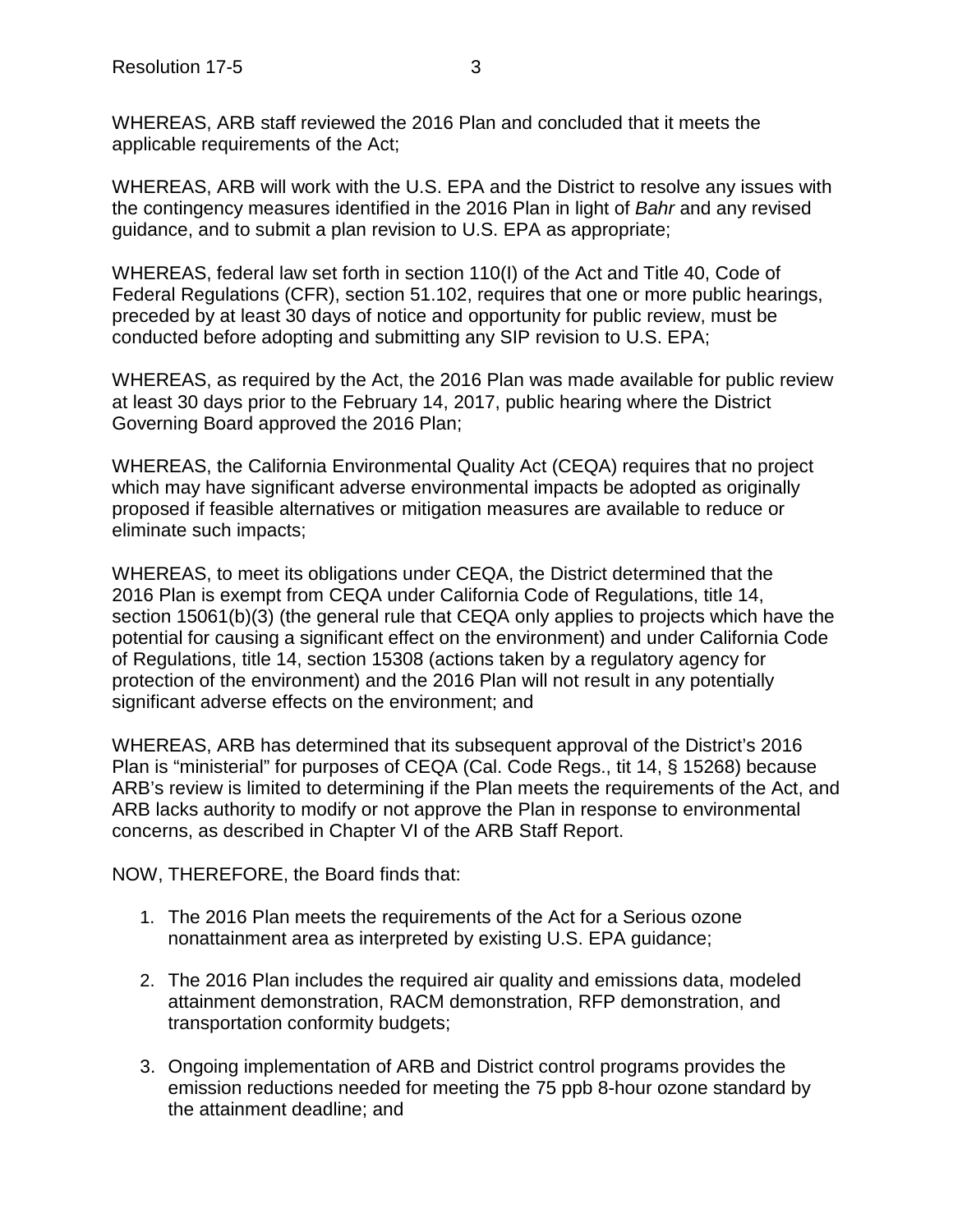WHEREAS, ARB staff reviewed the 2016 Plan and concluded that it meets the applicable requirements of the Act;

WHEREAS, ARB will work with the U.S. EPA and the District to resolve any issues with the contingency measures identified in the 2016 Plan in light of *Bahr* and any revised guidance, and to submit a plan revision to U.S. EPA as appropriate;

WHEREAS, federal law set forth in section 110(I) of the Act and Title 40, Code of Federal Regulations (CFR), section 51.102, requires that one or more public hearings, preceded by at least 30 days of notice and opportunity for public review, must be conducted before adopting and submitting any SIP revision to U.S. EPA;

WHEREAS, as required by the Act, the 2016 Plan was made available for public review at least 30 days prior to the February 14, 2017, public hearing where the District Governing Board approved the 2016 Plan;

WHEREAS, the California Environmental Quality Act (CEQA) requires that no project which may have significant adverse environmental impacts be adopted as originally proposed if feasible alternatives or mitigation measures are available to reduce or eliminate such impacts;

WHEREAS, to meet its obligations under CEQA, the District determined that the 2016 Plan is exempt from CEQA under California Code of Regulations, title 14, section 15061(b)(3) (the general rule that CEQA only applies to projects which have the potential for causing a significant effect on the environment) and under California Code of Regulations, title 14, section 15308 (actions taken by a regulatory agency for protection of the environment) and the 2016 Plan will not result in any potentially significant adverse effects on the environment; and

WHEREAS, ARB has determined that its subsequent approval of the District's 2016 Plan is "ministerial" for purposes of CEQA (Cal. Code Regs., tit 14, § 15268) because ARB's review is limited to determining if the Plan meets the requirements of the Act, and ARB lacks authority to modify or not approve the Plan in response to environmental concerns, as described in Chapter VI of the ARB Staff Report.

NOW, THEREFORE, the Board finds that:

- 1. The 2016 Plan meets the requirements of the Act for a Serious ozone nonattainment area as interpreted by existing U.S. EPA guidance;
- 2. The 2016 Plan includes the required air quality and emissions data, modeled attainment demonstration, RACM demonstration, RFP demonstration, and transportation conformity budgets;
- 3. Ongoing implementation of ARB and District control programs provides the emission reductions needed for meeting the 75 ppb 8-hour ozone standard by the attainment deadline; and